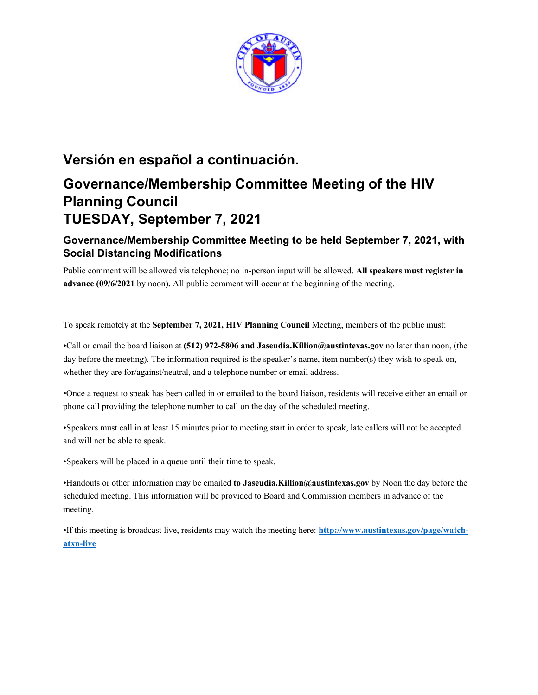

# **Versión en español a continuación.**

# **Governance/Membership Committee Meeting of the HIV Planning Council TUESDAY, September 7, 2021**

# **Governance/Membership Committee Meeting to be held September 7, 2021, with Social Distancing Modifications**

Public comment will be allowed via telephone; no in-person input will be allowed. **All speakers must register in advance (09/6/2021** by noon**).** All public comment will occur at the beginning of the meeting.

To speak remotely at the **September 7, 2021, HIV Planning Council** Meeting, members of the public must:

•Call or email the board liaison at **(512) 972-5806 and Jaseudia.Killion@austintexas.gov** no later than noon, (the day before the meeting). The information required is the speaker's name, item number(s) they wish to speak on, whether they are for/against/neutral, and a telephone number or email address.

•Once a request to speak has been called in or emailed to the board liaison, residents will receive either an email or phone call providing the telephone number to call on the day of the scheduled meeting.

•Speakers must call in at least 15 minutes prior to meeting start in order to speak, late callers will not be accepted and will not be able to speak.

•Speakers will be placed in a queue until their time to speak.

•Handouts or other information may be emailed **to Jaseudia.Killion@austintexas.gov** by Noon the day before the scheduled meeting. This information will be provided to Board and Commission members in advance of the meeting.

•If this meeting is broadcast live, residents may watch the meeting here: **http://www.austintexas.gov/page/watchatxn-live**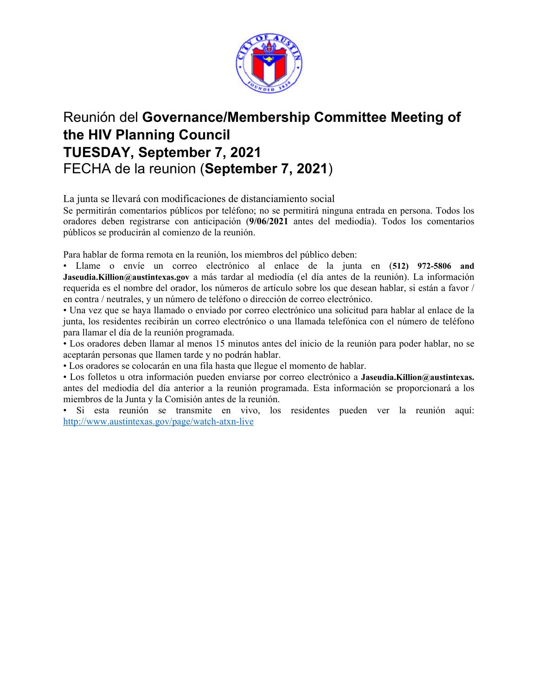

# Reunión del **Governance/Membership Committee Meeting of the HIV Planning Council TUESDAY, September 7, 2021**  FECHA de la reunion (**September 7, 2021**)

La junta se llevará con modificaciones de distanciamiento social

Se permitirán comentarios públicos por teléfono; no se permitirá ninguna entrada en persona. Todos los oradores deben registrarse con anticipación (**9/06/2021** antes del mediodía). Todos los comentarios públicos se producirán al comienzo de la reunión.

Para hablar de forma remota en la reunión, los miembros del público deben:

• Llame o envíe un correo electrónico al enlace de la junta en (**512) 972-5806 and Jaseudia.Killion@austintexas.gov** a más tardar al mediodía (el día antes de la reunión). La información requerida es el nombre del orador, los números de artículo sobre los que desean hablar, si están a favor / en contra / neutrales, y un número de teléfono o dirección de correo electrónico.

• Una vez que se haya llamado o enviado por correo electrónico una solicitud para hablar al enlace de la junta, los residentes recibirán un correo electrónico o una llamada telefónica con el número de teléfono para llamar el día de la reunión programada.

• Los oradores deben llamar al menos 15 minutos antes del inicio de la reunión para poder hablar, no se aceptarán personas que llamen tarde y no podrán hablar.

• Los oradores se colocarán en una fila hasta que llegue el momento de hablar.

• Los folletos u otra información pueden enviarse por correo electrónico a **Jaseudia.Killion@austintexas.** antes del mediodía del día anterior a la reunión programada. Esta información se proporcionará a los miembros de la Junta y la Comisión antes de la reunión.

• Si esta reunión se transmite en vivo, los residentes pueden ver la reunión aquí: http://www.austintexas.gov/page/watch-atxn-live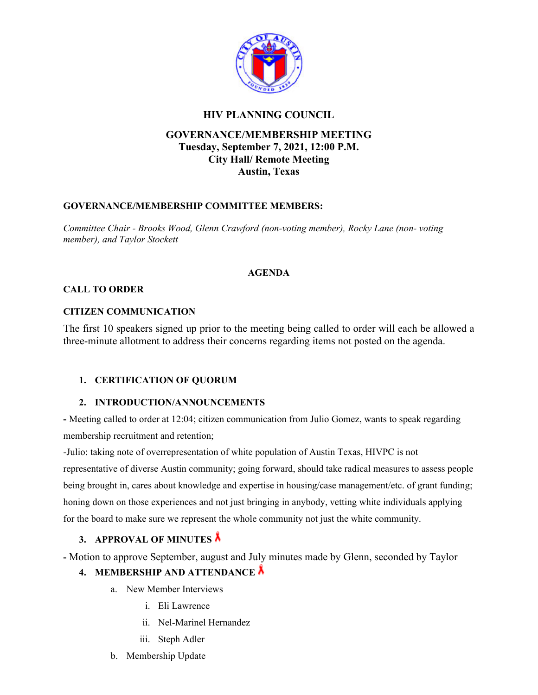

### **HIV PLANNING COUNCIL**

# **GOVERNANCE/MEMBERSHIP MEETING Tuesday, September 7, 2021, 12:00 P.M. City Hall/ Remote Meeting Austin, Texas**

#### **GOVERNANCE/MEMBERSHIP COMMITTEE MEMBERS:**

*Committee Chair - Brooks Wood, Glenn Crawford (non-voting member), Rocky Lane (non- voting member), and Taylor Stockett* 

#### **AGENDA**

#### **CALL TO ORDER**

#### **CITIZEN COMMUNICATION**

The first 10 speakers signed up prior to the meeting being called to order will each be allowed a three-minute allotment to address their concerns regarding items not posted on the agenda.

#### **1. CERTIFICATION OF QUORUM**

#### **2. INTRODUCTION/ANNOUNCEMENTS**

**-** Meeting called to order at 12:04; citizen communication from Julio Gomez, wants to speak regarding membership recruitment and retention;

-Julio: taking note of overrepresentation of white population of Austin Texas, HIVPC is not representative of diverse Austin community; going forward, should take radical measures to assess people being brought in, cares about knowledge and expertise in housing/case management/etc. of grant funding; honing down on those experiences and not just bringing in anybody, vetting white individuals applying for the board to make sure we represent the whole community not just the white community.

#### **3. APPROVAL OF MINUTES**

**-** Motion to approve September, august and July minutes made by Glenn, seconded by Taylor

# **4. MEMBERSHIP AND ATTENDANCE**

- a. New Member Interviews
	- i. Eli Lawrence
	- ii. Nel-Marinel Hernandez
	- iii. Steph Adler
- b. Membership Update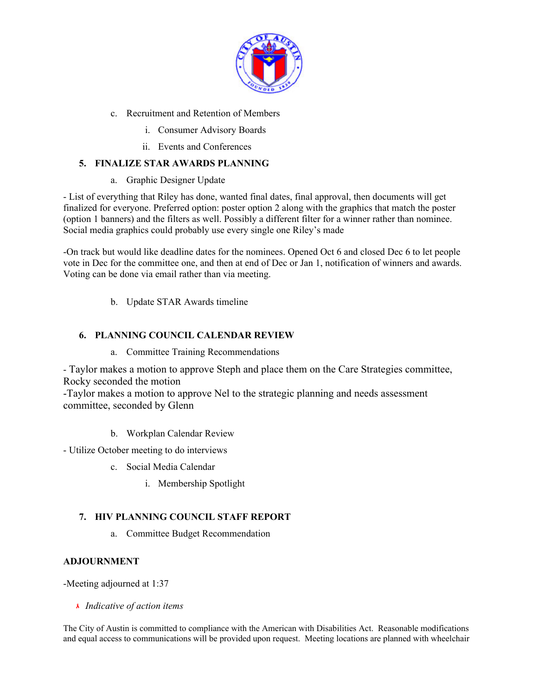

- c. Recruitment and Retention of Members
	- i. Consumer Advisory Boards
	- ii. Events and Conferences

### **5. FINALIZE STAR AWARDS PLANNING**

a. Graphic Designer Update

- List of everything that Riley has done, wanted final dates, final approval, then documents will get finalized for everyone. Preferred option: poster option 2 along with the graphics that match the poster (option 1 banners) and the filters as well. Possibly a different filter for a winner rather than nominee. Social media graphics could probably use every single one Riley's made

-On track but would like deadline dates for the nominees. Opened Oct 6 and closed Dec 6 to let people vote in Dec for the committee one, and then at end of Dec or Jan 1, notification of winners and awards. Voting can be done via email rather than via meeting.

b. Update STAR Awards timeline

### **6. PLANNING COUNCIL CALENDAR REVIEW**

a. Committee Training Recommendations

- Taylor makes a motion to approve Steph and place them on the Care Strategies committee, Rocky seconded the motion

-Taylor makes a motion to approve Nel to the strategic planning and needs assessment committee, seconded by Glenn

b. Workplan Calendar Review

- Utilize October meeting to do interviews

- c. Social Media Calendar
	- i. Membership Spotlight

# **7. HIV PLANNING COUNCIL STAFF REPORT**

a. Committee Budget Recommendation

#### **ADJOURNMENT**

-Meeting adjourned at 1:37

 *Indicative of action items* 

The City of Austin is committed to compliance with the American with Disabilities Act. Reasonable modifications and equal access to communications will be provided upon request. Meeting locations are planned with wheelchair